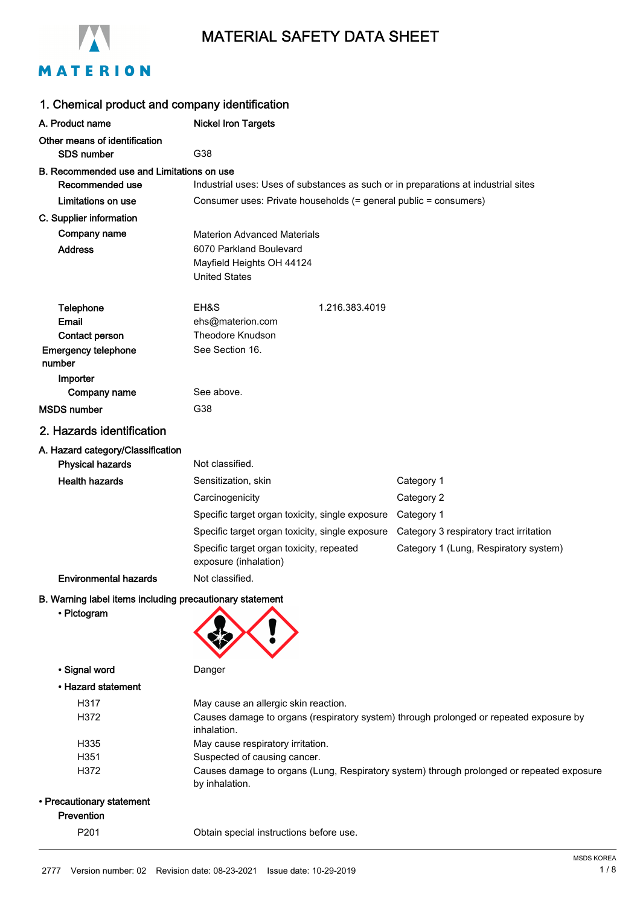

# MATERIAL SAFETY DATA SHEET

# MATERION

| 1. Chemical product and company identification           |                                                                              |                |                                                                                           |
|----------------------------------------------------------|------------------------------------------------------------------------------|----------------|-------------------------------------------------------------------------------------------|
| A. Product name                                          | <b>Nickel Iron Targets</b>                                                   |                |                                                                                           |
| Other means of identification<br><b>SDS number</b>       | G38                                                                          |                |                                                                                           |
| B. Recommended use and Limitations on use                |                                                                              |                |                                                                                           |
| Recommended use                                          |                                                                              |                | Industrial uses: Uses of substances as such or in preparations at industrial sites        |
| Limitations on use                                       | Consumer uses: Private households (= general public = consumers)             |                |                                                                                           |
| C. Supplier information                                  |                                                                              |                |                                                                                           |
| Company name                                             | <b>Materion Advanced Materials</b>                                           |                |                                                                                           |
| <b>Address</b>                                           | 6070 Parkland Boulevard<br>Mayfield Heights OH 44124<br><b>United States</b> |                |                                                                                           |
| Telephone                                                | EH&S                                                                         | 1.216.383.4019 |                                                                                           |
| Email                                                    | ehs@materion.com                                                             |                |                                                                                           |
| Contact person                                           | Theodore Knudson                                                             |                |                                                                                           |
| <b>Emergency telephone</b><br>number                     | See Section 16.                                                              |                |                                                                                           |
| Importer                                                 |                                                                              |                |                                                                                           |
| Company name                                             | See above.                                                                   |                |                                                                                           |
| <b>MSDS</b> number                                       | G38                                                                          |                |                                                                                           |
| 2. Hazards identification                                |                                                                              |                |                                                                                           |
| A. Hazard category/Classification                        |                                                                              |                |                                                                                           |
| <b>Physical hazards</b>                                  | Not classified.                                                              |                |                                                                                           |
| <b>Health hazards</b>                                    | Sensitization, skin                                                          |                | Category 1                                                                                |
|                                                          | Carcinogenicity                                                              |                | Category 2                                                                                |
|                                                          | Specific target organ toxicity, single exposure                              |                | Category 1                                                                                |
|                                                          | Specific target organ toxicity, single exposure                              |                | Category 3 respiratory tract irritation                                                   |
|                                                          | Specific target organ toxicity, repeated<br>exposure (inhalation)            |                | Category 1 (Lung, Respiratory system)                                                     |
| <b>Environmental hazards</b>                             | Not classified.                                                              |                |                                                                                           |
| B. Warning label items including precautionary statement |                                                                              |                |                                                                                           |
| • Pictogram                                              |                                                                              |                |                                                                                           |
| · Signal word                                            | Danger                                                                       |                |                                                                                           |
| • Hazard statement                                       |                                                                              |                |                                                                                           |
| H317                                                     | May cause an allergic skin reaction.                                         |                |                                                                                           |
| H372                                                     | inhalation.                                                                  |                | Causes damage to organs (respiratory system) through prolonged or repeated exposure by    |
| H335                                                     | May cause respiratory irritation.                                            |                |                                                                                           |
| H351                                                     | Suspected of causing cancer.                                                 |                |                                                                                           |
| H372                                                     | by inhalation.                                                               |                | Causes damage to organs (Lung, Respiratory system) through prolonged or repeated exposure |
| • Precautionary statement                                |                                                                              |                |                                                                                           |
| Prevention                                               |                                                                              |                |                                                                                           |
| P201                                                     | Obtain special instructions before use.                                      |                |                                                                                           |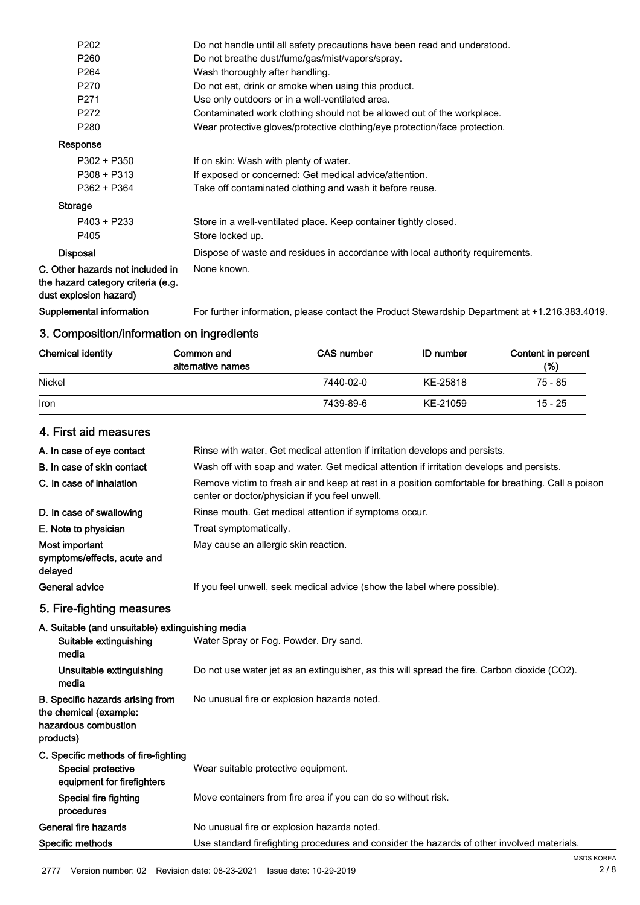| P <sub>202</sub>                                                                                 | Do not handle until all safety precautions have been read and understood.                      |
|--------------------------------------------------------------------------------------------------|------------------------------------------------------------------------------------------------|
| P <sub>260</sub>                                                                                 | Do not breathe dust/fume/gas/mist/vapors/spray.                                                |
| P <sub>264</sub>                                                                                 | Wash thoroughly after handling.                                                                |
| P270                                                                                             | Do not eat, drink or smoke when using this product.                                            |
| P271                                                                                             | Use only outdoors or in a well-ventilated area.                                                |
| P272                                                                                             | Contaminated work clothing should not be allowed out of the workplace.                         |
| P <sub>280</sub>                                                                                 | Wear protective gloves/protective clothing/eye protection/face protection.                     |
| Response                                                                                         |                                                                                                |
| $P302 + P350$                                                                                    | If on skin: Wash with plenty of water.                                                         |
| $P308 + P313$                                                                                    | If exposed or concerned: Get medical advice/attention.                                         |
| P362 + P364                                                                                      | Take off contaminated clothing and wash it before reuse.                                       |
| <b>Storage</b>                                                                                   |                                                                                                |
| P403 + P233                                                                                      | Store in a well-ventilated place. Keep container tightly closed.                               |
| P405                                                                                             | Store locked up.                                                                               |
| <b>Disposal</b>                                                                                  | Dispose of waste and residues in accordance with local authority requirements.                 |
| C. Other hazards not included in<br>the hazard category criteria (e.g.<br>dust explosion hazard) | None known.                                                                                    |
| Supplemental information                                                                         | For further information, please contact the Product Stewardship Department at +1.216.383.4019. |
|                                                                                                  |                                                                                                |

# 3. Composition/information on ingredients

| <b>Chemical identity</b> | Common and<br>alternative names | <b>CAS number</b> | <b>ID</b> number | Content in percent<br>(%) |
|--------------------------|---------------------------------|-------------------|------------------|---------------------------|
| Nickel                   |                                 | 7440-02-0         | KE-25818         | 75 - 85                   |
| Iron                     |                                 | 7439-89-6         | KE-21059         | $15 - 25$                 |

# 4. First aid measures

| A. In case of eye contact                                                                       | Rinse with water. Get medical attention if irritation develops and persists.                                                                         |
|-------------------------------------------------------------------------------------------------|------------------------------------------------------------------------------------------------------------------------------------------------------|
| B. In case of skin contact                                                                      | Wash off with soap and water. Get medical attention if irritation develops and persists.                                                             |
| C. In case of inhalation                                                                        | Remove victim to fresh air and keep at rest in a position comfortable for breathing. Call a poison<br>center or doctor/physician if you feel unwell. |
| D. In case of swallowing                                                                        | Rinse mouth. Get medical attention if symptoms occur.                                                                                                |
| E. Note to physician                                                                            | Treat symptomatically.                                                                                                                               |
| Most important<br>symptoms/effects, acute and<br>delayed                                        | May cause an allergic skin reaction.                                                                                                                 |
| General advice                                                                                  | If you feel unwell, seek medical advice (show the label where possible).                                                                             |
| 5. Fire-fighting measures                                                                       |                                                                                                                                                      |
| A. Suitable (and unsuitable) extinguishing media<br>Suitable extinguishing<br>media             | Water Spray or Fog. Powder. Dry sand.                                                                                                                |
| Unsuitable extinguishing<br>media                                                               | Do not use water jet as an extinguisher, as this will spread the fire. Carbon dioxide (CO2).                                                         |
| B. Specific hazards arising from<br>the chemical (example:<br>hazardous combustion<br>products) | No unusual fire or explosion hazards noted.                                                                                                          |
| C. Specific methods of fire-fighting<br>Special protective<br>equipment for firefighters        | Wear suitable protective equipment.                                                                                                                  |
| <b>Special fire fighting</b><br>procedures                                                      | Move containers from fire area if you can do so without risk.                                                                                        |
| General fire hazards                                                                            | No unusual fire or explosion hazards noted.                                                                                                          |
| Specific methods                                                                                | Use standard firefighting procedures and consider the hazards of other involved materials.                                                           |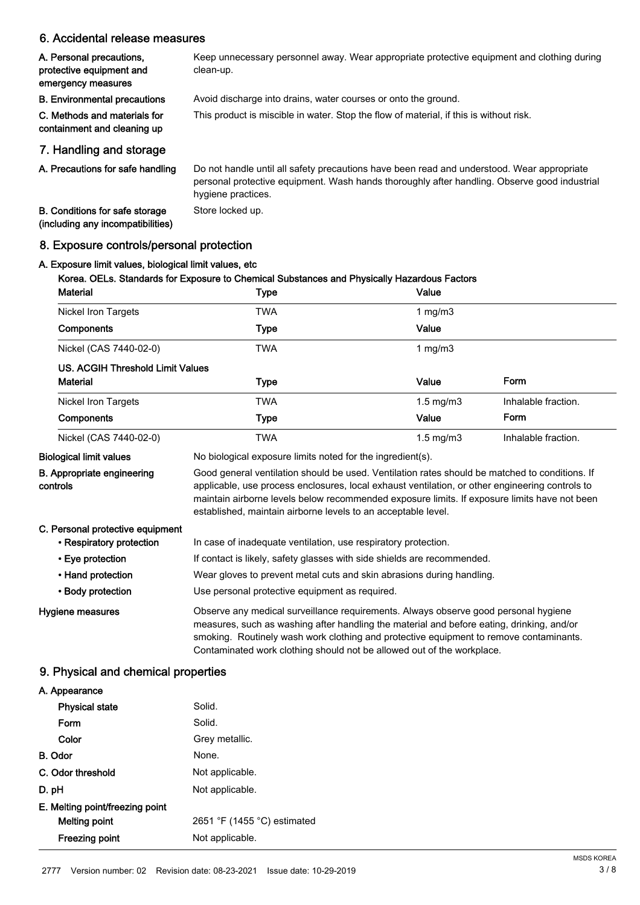# 6. Accidental release measures

| A. Personal precautions,<br>protective equipment and<br>emergency measures | Keep unnecessary personnel away. Wear appropriate protective equipment and clothing during<br>clean-up.                                                                                                          |
|----------------------------------------------------------------------------|------------------------------------------------------------------------------------------------------------------------------------------------------------------------------------------------------------------|
| <b>B.</b> Environmental precautions                                        | Avoid discharge into drains, water courses or onto the ground.                                                                                                                                                   |
| C. Methods and materials for<br>containment and cleaning up                | This product is miscible in water. Stop the flow of material, if this is without risk.                                                                                                                           |
| 7. Handling and storage                                                    |                                                                                                                                                                                                                  |
| A. Precautions for safe handling                                           | Do not handle until all safety precautions have been read and understood. Wear appropriate<br>personal protective equipment. Wash hands thoroughly after handling. Observe good industrial<br>hygiene practices. |

B. Conditions for safe storage Store locked up. (including any incompatibilities)

# 8. Exposure controls/personal protection

# A. Exposure limit values, biological limit values, etc

# Korea. OELs. Standards for Exposure to Chemical Substances and Physically Hazardous Factors

| <b>Material</b>                               | <b>Type</b>                                                                                                                                                                                                                                                                                                                                                        | Value          |                     |
|-----------------------------------------------|--------------------------------------------------------------------------------------------------------------------------------------------------------------------------------------------------------------------------------------------------------------------------------------------------------------------------------------------------------------------|----------------|---------------------|
| <b>Nickel Iron Targets</b>                    | <b>TWA</b>                                                                                                                                                                                                                                                                                                                                                         | 1 $mg/m3$      |                     |
| <b>Components</b>                             | <b>Type</b>                                                                                                                                                                                                                                                                                                                                                        | Value          |                     |
| Nickel (CAS 7440-02-0)                        | <b>TWA</b>                                                                                                                                                                                                                                                                                                                                                         | 1 $mg/m3$      |                     |
| <b>US. ACGIH Threshold Limit Values</b>       |                                                                                                                                                                                                                                                                                                                                                                    |                |                     |
| <b>Material</b>                               | <b>Type</b>                                                                                                                                                                                                                                                                                                                                                        | Value          | Form                |
| <b>Nickel Iron Targets</b>                    | <b>TWA</b>                                                                                                                                                                                                                                                                                                                                                         | $1.5$ mg/m $3$ | Inhalable fraction. |
| Components                                    | <b>Type</b>                                                                                                                                                                                                                                                                                                                                                        | Value          | Form                |
| Nickel (CAS 7440-02-0)                        | <b>TWA</b>                                                                                                                                                                                                                                                                                                                                                         | $1.5$ mg/m $3$ | Inhalable fraction. |
| <b>Biological limit values</b>                | No biological exposure limits noted for the ingredient(s).                                                                                                                                                                                                                                                                                                         |                |                     |
| <b>B.</b> Appropriate engineering<br>controls | Good general ventilation should be used. Ventilation rates should be matched to conditions. If<br>applicable, use process enclosures, local exhaust ventilation, or other engineering controls to<br>maintain airborne levels below recommended exposure limits. If exposure limits have not been<br>established, maintain airborne levels to an acceptable level. |                |                     |
| C. Personal protective equipment              |                                                                                                                                                                                                                                                                                                                                                                    |                |                     |
| • Respiratory protection                      | In case of inadequate ventilation, use respiratory protection.                                                                                                                                                                                                                                                                                                     |                |                     |
| • Eye protection                              | If contact is likely, safety glasses with side shields are recommended.                                                                                                                                                                                                                                                                                            |                |                     |
| • Hand protection                             | Wear gloves to prevent metal cuts and skin abrasions during handling.                                                                                                                                                                                                                                                                                              |                |                     |
| • Body protection                             | Use personal protective equipment as required.                                                                                                                                                                                                                                                                                                                     |                |                     |
| Hygiene measures                              | Observe any medical surveillance requirements. Always observe good personal hygiene<br>measures, such as washing after handling the material and before eating, drinking, and/or<br>smoking. Routinely wash work clothing and protective equipment to remove contaminants.<br>Contaminated work clothing should not be allowed out of the workplace.               |                |                     |

# 9. Physical and chemical properties

| A. Appearance                   |                             |
|---------------------------------|-----------------------------|
| <b>Physical state</b>           | Solid.                      |
| Form                            | Solid.                      |
| Color                           | Grey metallic.              |
| B. Odor                         | None.                       |
| C. Odor threshold               | Not applicable.             |
| D. pH                           | Not applicable.             |
| E. Melting point/freezing point |                             |
| Melting point                   | 2651 °F (1455 °C) estimated |
| <b>Freezing point</b>           | Not applicable.             |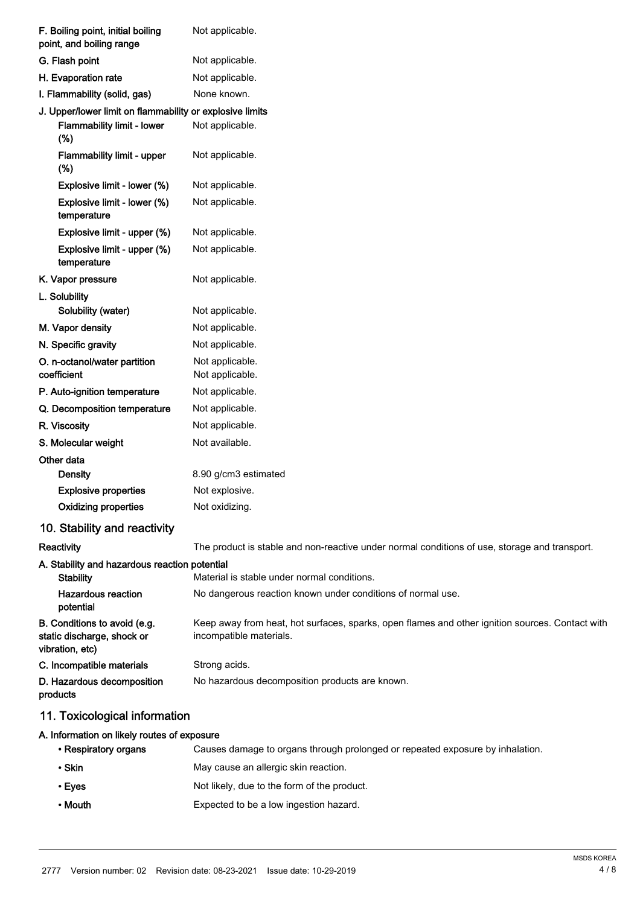| F. Boiling point, initial boiling<br>point, and boiling range                 | Not applicable.                                                                                                            |
|-------------------------------------------------------------------------------|----------------------------------------------------------------------------------------------------------------------------|
| G. Flash point                                                                | Not applicable.                                                                                                            |
| H. Evaporation rate                                                           | Not applicable.                                                                                                            |
| I. Flammability (solid, gas)                                                  | None known.                                                                                                                |
| J. Upper/lower limit on flammability or explosive limits                      |                                                                                                                            |
| Flammability limit - lower<br>$(\%)$                                          | Not applicable.                                                                                                            |
| Flammability limit - upper<br>$(\%)$                                          | Not applicable.                                                                                                            |
| Explosive limit - lower (%)                                                   | Not applicable.                                                                                                            |
| Explosive limit - lower (%)<br>temperature                                    | Not applicable.                                                                                                            |
| Explosive limit - upper (%)                                                   | Not applicable.                                                                                                            |
| Explosive limit - upper (%)<br>temperature                                    | Not applicable.                                                                                                            |
| K. Vapor pressure                                                             | Not applicable.                                                                                                            |
| L. Solubility                                                                 |                                                                                                                            |
| Solubility (water)                                                            | Not applicable.                                                                                                            |
| M. Vapor density                                                              | Not applicable.                                                                                                            |
| N. Specific gravity                                                           | Not applicable.                                                                                                            |
| O. n-octanol/water partition<br>coefficient                                   | Not applicable.<br>Not applicable.                                                                                         |
| P. Auto-ignition temperature                                                  | Not applicable.                                                                                                            |
| Q. Decomposition temperature                                                  | Not applicable.                                                                                                            |
| R. Viscosity                                                                  | Not applicable.                                                                                                            |
| S. Molecular weight                                                           | Not available.                                                                                                             |
| Other data                                                                    |                                                                                                                            |
| <b>Density</b>                                                                | 8.90 g/cm3 estimated                                                                                                       |
| <b>Explosive properties</b>                                                   | Not explosive.                                                                                                             |
| <b>Oxidizing properties</b>                                                   | Not oxidizing.                                                                                                             |
| 10. Stability and reactivity                                                  |                                                                                                                            |
| Reactivity                                                                    | The product is stable and non-reactive under normal conditions of use, storage and transport.                              |
| A. Stability and hazardous reaction potential<br><b>Stability</b>             | Material is stable under normal conditions.                                                                                |
| <b>Hazardous reaction</b><br>potential                                        | No dangerous reaction known under conditions of normal use.                                                                |
| B. Conditions to avoid (e.g.<br>static discharge, shock or<br>vibration, etc) | Keep away from heat, hot surfaces, sparks, open flames and other ignition sources. Contact with<br>incompatible materials. |
| C. Incompatible materials                                                     | Strong acids.                                                                                                              |
| D. Hazardous decomposition<br>products                                        | No hazardous decomposition products are known.                                                                             |
| 11. Toxicological information                                                 |                                                                                                                            |
| A. Information on likely routes of exposure                                   |                                                                                                                            |
| • Respiratory organs                                                          | Causes damage to organs through prolonged or repeated exposure by inhalation.                                              |

- Skin May cause an allergic skin reaction. • Eyes **Not likely, due to the form of the product.**
- Mouth Expected to be a low ingestion hazard.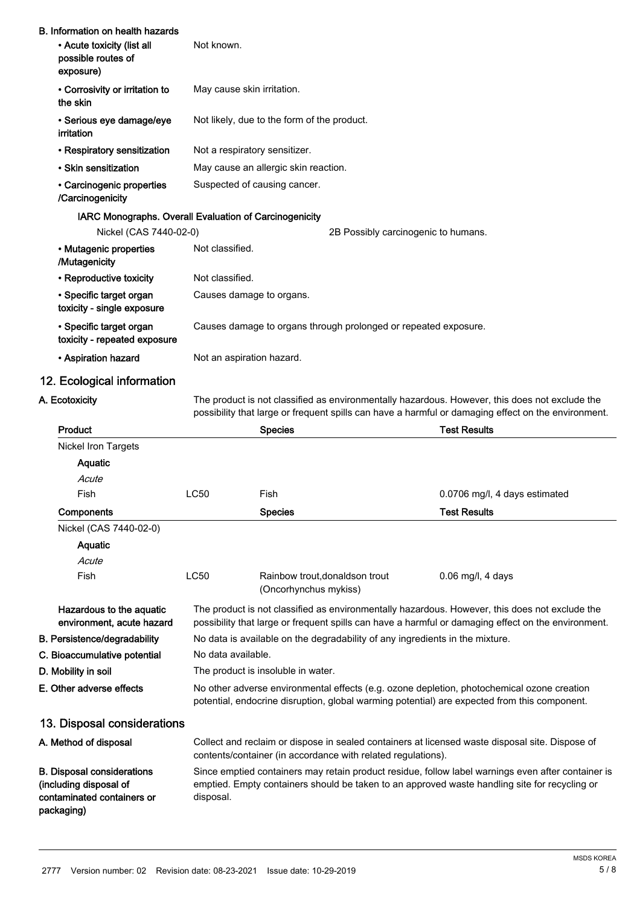| <b>B. Information on health hazards</b><br>• Acute toxicity (list all<br>possible routes of<br>exposure) | Not known.                                                      |                                             |                                     |                                                                                                                                                                                                       |
|----------------------------------------------------------------------------------------------------------|-----------------------------------------------------------------|---------------------------------------------|-------------------------------------|-------------------------------------------------------------------------------------------------------------------------------------------------------------------------------------------------------|
| • Corrosivity or irritation to<br>the skin                                                               |                                                                 | May cause skin irritation.                  |                                     |                                                                                                                                                                                                       |
| · Serious eye damage/eye<br>irritation                                                                   |                                                                 | Not likely, due to the form of the product. |                                     |                                                                                                                                                                                                       |
| • Respiratory sensitization                                                                              | Not a respiratory sensitizer.                                   |                                             |                                     |                                                                                                                                                                                                       |
| • Skin sensitization                                                                                     |                                                                 | May cause an allergic skin reaction.        |                                     |                                                                                                                                                                                                       |
| • Carcinogenic properties<br>/Carcinogenicity                                                            |                                                                 | Suspected of causing cancer.                |                                     |                                                                                                                                                                                                       |
| IARC Monographs. Overall Evaluation of Carcinogenicity                                                   |                                                                 |                                             |                                     |                                                                                                                                                                                                       |
| Nickel (CAS 7440-02-0)                                                                                   |                                                                 |                                             | 2B Possibly carcinogenic to humans. |                                                                                                                                                                                                       |
| · Mutagenic properties<br>/Mutagenicity                                                                  | Not classified.                                                 |                                             |                                     |                                                                                                                                                                                                       |
| • Reproductive toxicity                                                                                  | Not classified.                                                 |                                             |                                     |                                                                                                                                                                                                       |
| • Specific target organ<br>toxicity - single exposure                                                    | Causes damage to organs.                                        |                                             |                                     |                                                                                                                                                                                                       |
| · Specific target organ<br>toxicity - repeated exposure                                                  | Causes damage to organs through prolonged or repeated exposure. |                                             |                                     |                                                                                                                                                                                                       |
| • Aspiration hazard                                                                                      | Not an aspiration hazard.                                       |                                             |                                     |                                                                                                                                                                                                       |
| 12. Ecological information                                                                               |                                                                 |                                             |                                     |                                                                                                                                                                                                       |
| A. Ecotoxicity                                                                                           |                                                                 |                                             |                                     | The product is not classified as environmentally hazardous. However, this does not exclude the<br>possibility that large or frequent spills can have a harmful or damaging effect on the environment. |
| Product                                                                                                  |                                                                 | <b>Species</b>                              | <b>Test Results</b>                 |                                                                                                                                                                                                       |
| <b>Nickel Iron Targets</b>                                                                               |                                                                 |                                             |                                     |                                                                                                                                                                                                       |
| Aquatic                                                                                                  |                                                                 |                                             |                                     |                                                                                                                                                                                                       |
| Acute                                                                                                    |                                                                 |                                             |                                     |                                                                                                                                                                                                       |
| Fish                                                                                                     | <b>LC50</b>                                                     | Fish                                        |                                     | 0.0706 mg/l, 4 days estimated                                                                                                                                                                         |
| Components                                                                                               |                                                                 | <b>Species</b>                              | <b>Test Results</b>                 |                                                                                                                                                                                                       |
| Nickel (CAS 7440-02-0)                                                                                   |                                                                 |                                             |                                     |                                                                                                                                                                                                       |

Aquatic

contaminated containers or

packaging)

Acute Fish CC50 Rainbow trout,donaldson trout 0.06 mg/l, 4 days

|                                                             | (Oncorhynchus mykiss)                                                                                                                                                                                 |
|-------------------------------------------------------------|-------------------------------------------------------------------------------------------------------------------------------------------------------------------------------------------------------|
| Hazardous to the aquatic<br>environment, acute hazard       | The product is not classified as environmentally hazardous. However, this does not exclude the<br>possibility that large or frequent spills can have a harmful or damaging effect on the environment. |
| <b>B. Persistence/degradability</b>                         | No data is available on the degradability of any ingredients in the mixture.                                                                                                                          |
| C. Bioaccumulative potential                                | No data available.                                                                                                                                                                                    |
| D. Mobility in soil                                         | The product is insoluble in water.                                                                                                                                                                    |
| E. Other adverse effects                                    | No other adverse environmental effects (e.g. ozone depletion, photochemical ozone creation<br>potential, endocrine disruption, global warming potential) are expected from this component.            |
| 13. Disposal considerations                                 |                                                                                                                                                                                                       |
| A. Method of disposal                                       | Collect and reclaim or dispose in sealed containers at licensed waste disposal site. Dispose of<br>contents/container (in accordance with related regulations).                                       |
| <b>B.</b> Disposal considerations<br>(including disposal of | Since emptied containers may retain product residue, follow label warnings even after container is<br>emptied. Empty containers should be taken to an approved waste handling site for recycling or   |

2777 Version number: 02 Revision date: 08-23-2021 Issue date: 10-29-2019

disposal.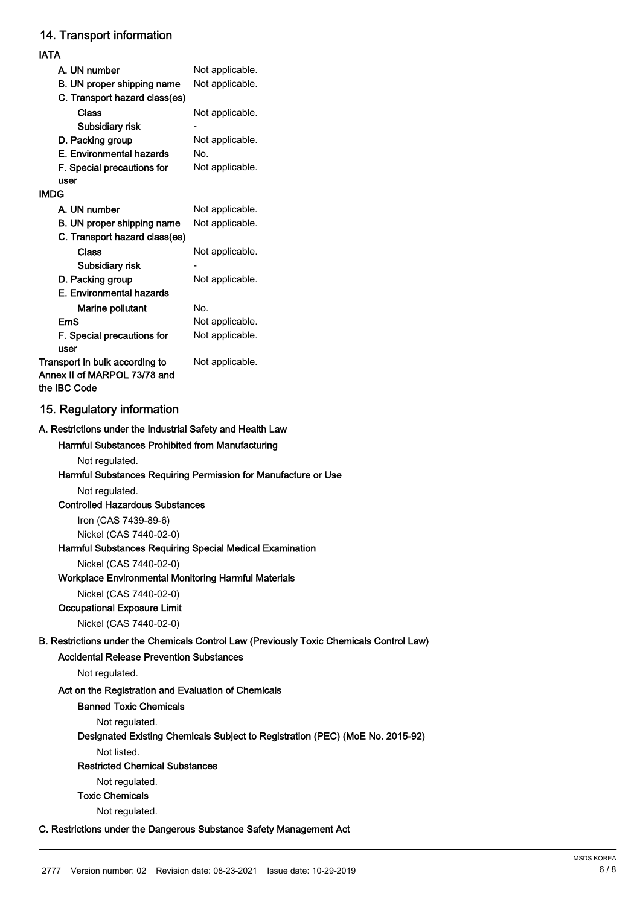# 14. Transport information

| IATA                                                                           |                 |
|--------------------------------------------------------------------------------|-----------------|
| A. UN number                                                                   | Not applicable. |
| B. UN proper shipping name                                                     | Not applicable. |
| C. Transport hazard class(es)                                                  |                 |
| Class                                                                          | Not applicable. |
| Subsidiary risk                                                                |                 |
| D. Packing group                                                               | Not applicable. |
| E. Environmental hazards                                                       | No.             |
| F. Special precautions for                                                     | Not applicable. |
| user                                                                           |                 |
| IMDG                                                                           |                 |
| A. UN number                                                                   | Not applicable. |
| B. UN proper shipping name                                                     | Not applicable. |
| C. Transport hazard class(es)                                                  |                 |
| Class                                                                          | Not applicable. |
| Subsidiary risk                                                                |                 |
| D. Packing group                                                               | Not applicable. |
| E. Environmental hazards                                                       |                 |
| <b>Marine pollutant</b>                                                        | No.             |
| EmS                                                                            | Not applicable. |
| F. Special precautions for<br>user                                             | Not applicable. |
| Transport in bulk according to<br>Annex II of MARPOL 73/78 and<br>the IBC Code | Not applicable. |

# 15. Regulatory information

#### A. Restrictions under the Industrial Safety and Health Law

# Harmful Substances Prohibited from Manufacturing

Not regulated.

#### Harmful Substances Requiring Permission for Manufacture or Use

Not regulated.

### Controlled Hazardous Substances

Iron (CAS 7439-89-6) Nickel (CAS 7440-02-0)

#### Harmful Substances Requiring Special Medical Examination

Nickel (CAS 7440-02-0)

#### Workplace Environmental Monitoring Harmful Materials

Nickel (CAS 7440-02-0)

# Occupational Exposure Limit

Nickel (CAS 7440-02-0)

# B. Restrictions under the Chemicals Control Law (Previously Toxic Chemicals Control Law)

## Accidental Release Prevention Substances

Not regulated.

# Act on the Registration and Evaluation of Chemicals

#### Banned Toxic Chemicals

Not regulated.

# Designated Existing Chemicals Subject to Registration (PEC) (MoE No. 2015-92)

Not listed.

#### Restricted Chemical Substances

Not regulated.

# Toxic Chemicals

Not regulated.

### C. Restrictions under the Dangerous Substance Safety Management Act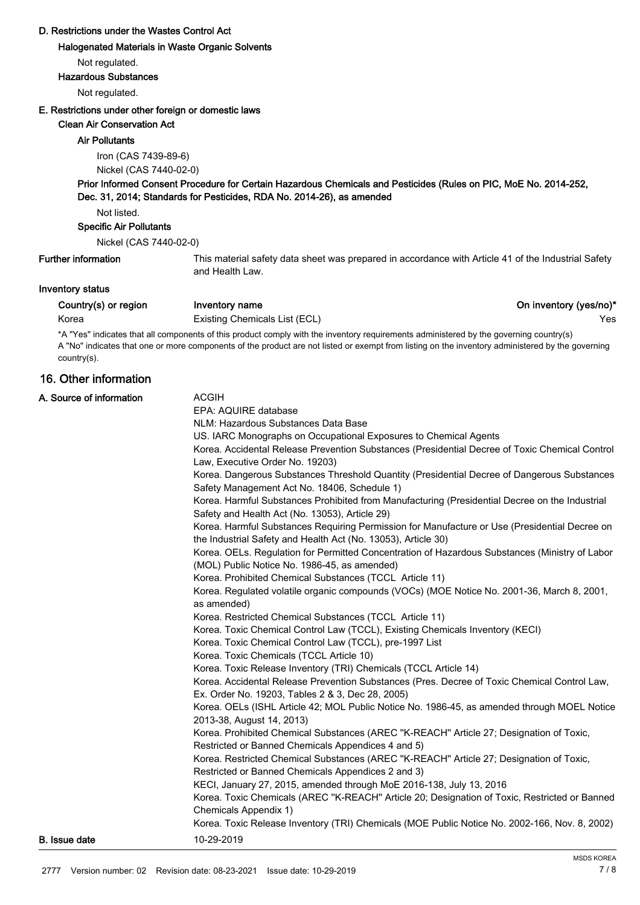# D. Restrictions under the Wastes Control Act

#### Halogenated Materials in Waste Organic Solvents

Not regulated.

#### Hazardous Substances

Not regulated.

### E. Restrictions under other foreign or domestic laws

#### Clean Air Conservation Act

#### Air Pollutants

Iron (CAS 7439-89-6) Nickel (CAS 7440-02-0)

# Prior Informed Consent Procedure for Certain Hazardous Chemicals and Pesticides (Rules on PIC, MoE No. 2014-252, Dec. 31, 2014; Standards for Pesticides, RDA No. 2014-26), as amended

Not listed.

### Specific Air Pollutants

Nickel (CAS 7440-02-0)

# Further information

This material safety data sheet was prepared in accordance with Article 41 of the Industrial Safety and Health Law.

## Inventory status

Country(s) or region Inventory name **Inventory name** Country(yes/no)\*

Korea **Existing Chemicals List (ECL) Existing Chemicals List (ECL) Existing Chemicals List (ECL)** 

\*A "Yes" indicates that all components of this product comply with the inventory requirements administered by the governing country(s) A "No" indicates that one or more components of the product are not listed or exempt from listing on the inventory administered by the governing country(s).

# 16. Other information

| A. Source of information | <b>ACGIH</b><br>EPA: AQUIRE database<br>NLM: Hazardous Substances Data Base<br>US. IARC Monographs on Occupational Exposures to Chemical Agents<br>Korea. Accidental Release Prevention Substances (Presidential Decree of Toxic Chemical Control<br>Law, Executive Order No. 19203)<br>Korea. Dangerous Substances Threshold Quantity (Presidential Decree of Dangerous Substances<br>Safety Management Act No. 18406, Schedule 1)<br>Korea. Harmful Substances Prohibited from Manufacturing (Presidential Decree on the Industrial<br>Safety and Health Act (No. 13053), Article 29)<br>Korea. Harmful Substances Requiring Permission for Manufacture or Use (Presidential Decree on<br>the Industrial Safety and Health Act (No. 13053), Article 30)<br>Korea. OELs. Regulation for Permitted Concentration of Hazardous Substances (Ministry of Labor<br>(MOL) Public Notice No. 1986-45, as amended)<br>Korea. Prohibited Chemical Substances (TCCL Article 11)<br>Korea. Regulated volatile organic compounds (VOCs) (MOE Notice No. 2001-36, March 8, 2001,<br>as amended)<br>Korea. Restricted Chemical Substances (TCCL Article 11)<br>Korea. Toxic Chemical Control Law (TCCL), Existing Chemicals Inventory (KECI)<br>Korea. Toxic Chemical Control Law (TCCL), pre-1997 List<br>Korea. Toxic Chemicals (TCCL Article 10)<br>Korea. Toxic Release Inventory (TRI) Chemicals (TCCL Article 14)<br>Korea. Accidental Release Prevention Substances (Pres. Decree of Toxic Chemical Control Law,<br>Ex. Order No. 19203, Tables 2 & 3, Dec 28, 2005)<br>Korea. OELs (ISHL Article 42; MOL Public Notice No. 1986-45, as amended through MOEL Notice<br>2013-38, August 14, 2013)<br>Korea. Prohibited Chemical Substances (AREC "K-REACH" Article 27; Designation of Toxic,<br>Restricted or Banned Chemicals Appendices 4 and 5)<br>Korea. Restricted Chemical Substances (AREC "K-REACH" Article 27; Designation of Toxic,<br>Restricted or Banned Chemicals Appendices 2 and 3)<br>KECI, January 27, 2015, amended through MoE 2016-138, July 13, 2016<br>Korea. Toxic Chemicals (AREC "K-REACH" Article 20; Designation of Toxic, Restricted or Banned<br>Chemicals Appendix 1)<br>Korea. Toxic Release Inventory (TRI) Chemicals (MOE Public Notice No. 2002-166, Nov. 8, 2002) |
|--------------------------|------------------------------------------------------------------------------------------------------------------------------------------------------------------------------------------------------------------------------------------------------------------------------------------------------------------------------------------------------------------------------------------------------------------------------------------------------------------------------------------------------------------------------------------------------------------------------------------------------------------------------------------------------------------------------------------------------------------------------------------------------------------------------------------------------------------------------------------------------------------------------------------------------------------------------------------------------------------------------------------------------------------------------------------------------------------------------------------------------------------------------------------------------------------------------------------------------------------------------------------------------------------------------------------------------------------------------------------------------------------------------------------------------------------------------------------------------------------------------------------------------------------------------------------------------------------------------------------------------------------------------------------------------------------------------------------------------------------------------------------------------------------------------------------------------------------------------------------------------------------------------------------------------------------------------------------------------------------------------------------------------------------------------------------------------------------------------------------------------------------------------------------------------------------------------------------------------------------------------------------------------------------------------------------------|
| <b>B.</b> Issue date     | 10-29-2019                                                                                                                                                                                                                                                                                                                                                                                                                                                                                                                                                                                                                                                                                                                                                                                                                                                                                                                                                                                                                                                                                                                                                                                                                                                                                                                                                                                                                                                                                                                                                                                                                                                                                                                                                                                                                                                                                                                                                                                                                                                                                                                                                                                                                                                                                     |